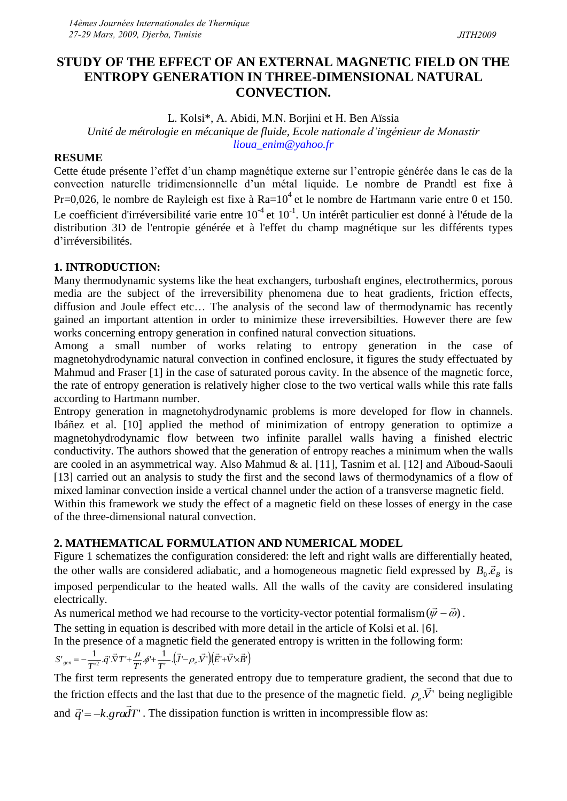## **STUDY OF THE EFFECT OF AN EXTERNAL MAGNETIC FIELD ON THE ENTROPY GENERATION IN THREE-DIMENSIONAL NATURAL CONVECTION.**

L. Kolsi\*, A. Abidi, M.N. Borjini et H. Ben Aïssia

*Unité de métrologie en mécanique de fluide, Ecole nationale d'ingénieur de Monastir lioua\_enim@yahoo.fr*

# **RESUME**

Cette étude présente l'effet d'un champ magnétique externe sur l'entropie générée dans le cas de la convection naturelle tridimensionnelle d'un métal liquide. Le nombre de Prandtl est fixe à Pr=0,026, le nombre de Rayleigh est fixe à Ra= $10^4$  et le nombre de Hartmann varie entre 0 et 150. Le coefficient d'irréversibilité varie entre  $10^{-4}$  et  $10^{-1}$ . Un intérêt particulier est donné à l'étude de la distribution 3D de l'entropie générée et à l'effet du champ magnétique sur les différents types d'irréversibilités.

## **1. INTRODUCTION:**

Many thermodynamic systems like the heat exchangers, turboshaft engines, electrothermics, porous media are the subject of the irreversibility phenomena due to heat gradients, friction effects, diffusion and Joule effect etc… The analysis of the second law of thermodynamic has recently gained an important attention in order to minimize these irreversibilties. However there are few works concerning entropy generation in confined natural convection situations.

Among a small number of works relating to entropy generation in the case of magnetohydrodynamic natural convection in confined enclosure, it figures the study effectuated by Mahmud and Fraser [1] in the case of saturated porous cavity. In the absence of the magnetic force, the rate of entropy generation is relatively higher close to the two vertical walls while this rate falls according to Hartmann number.

Entropy generation in magnetohydrodynamic problems is more developed for flow in channels. Ibáñez et al. [10] applied the method of minimization of entropy generation to optimize a magnetohydrodynamic flow between two infinite parallel walls having a finished electric conductivity. The authors showed that the generation of entropy reaches a minimum when the walls are cooled in an asymmetrical way. Also Mahmud & al. [11], Tasnim et al. [12] and Aïboud-Saouli [13] carried out an analysis to study the first and the second laws of thermodynamics of a flow of mixed laminar convection inside a vertical channel under the action of a transverse magnetic field.

Within this framework we study the effect of a magnetic field on these losses of energy in the case of the three-dimensional natural convection.

## **2. MATHEMATICAL FORMULATION AND NUMERICAL MODEL**

Figure 1 schematizes the configuration considered: the left and right walls are differentially heated, the other walls are considered adiabatic, and a homogeneous magnetic field expressed by  $B_0 \cdot \vec{e}_B$  is imposed perpendicular to the heated walls. All the walls of the cavity are considered insulating electrically.

electrically.<br>As numerical method we had recourse to the vorticity-vector potential formalism ( $(\vec{\psi} - \vec{\omega})$ ).

The setting in equation is described with more detail in the article of Kolsi et al. [6].

In the presence of a magnetic field the generated entropy is written in the following form:

$$
S^{\prime}_{gen}=-\frac{1}{T^{\prime2}}\cdot\vec{q}^{\prime}\cdot\vec{\nabla}T^{\prime}+\frac{\mu}{T^{\prime}}\cdot\phi^{\prime}+\frac{1}{T^{\prime}}\cdot(\vec{J}^{\prime}-\rho_{e}\cdot\vec{V}^{\prime})(\vec{E}^{\prime}+\vec{V}\times\vec{B}^{\prime})
$$

The first term represents the generated entropy due to temperature gradient, the second that due to the friction effects and the last that due to the presence of the magnetic field.  $\rho_e V'$  $\frac{5}{7}$  $\rho_e V$  being negligible and  $\vec{q} = -k.g\vec{r}$ . The dissipation function is written in incompressible flow as:  $\ddot{\phantom{0}}$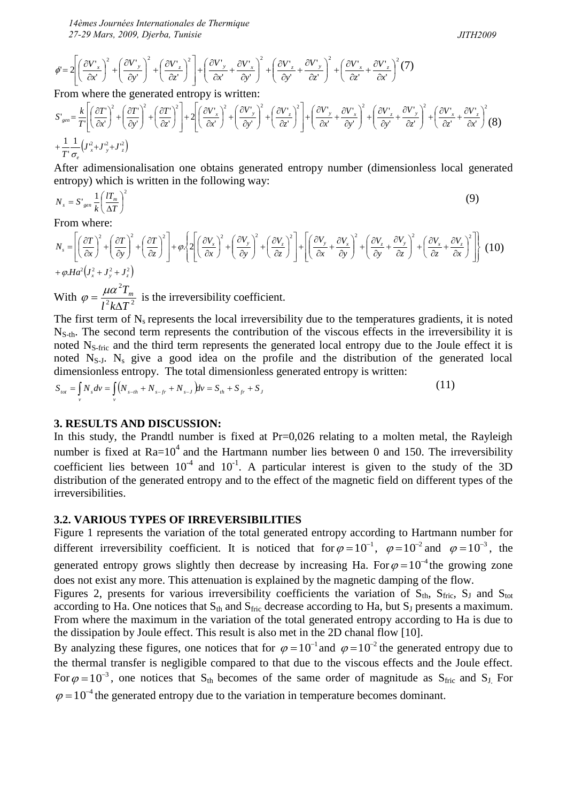*14èmes Journées Internationales de Thermique 27-29 Mars, 2009, Djerba, Tunisie* 

$$
JITH2009
$$

$$
\phi' = 2\left[\left(\frac{\partial V'_x}{\partial x'}\right)^2 + \left(\frac{\partial V'_y}{\partial y'}\right)^2 + \left(\frac{\partial V'_z}{\partial z'}\right)^2\right] + \left(\frac{\partial V'_y}{\partial x'} + \frac{\partial V'_x}{\partial y'}\right)^2 + \left(\frac{\partial V'_z}{\partial y'} + \frac{\partial V'_y}{\partial z'}\right)^2 + \left(\frac{\partial V'_x}{\partial z'} + \frac{\partial V'_z}{\partial x'}\right)^2(7)
$$

From where the generated entropy is written:

$$
S'_{gen} = \frac{k}{T} \left[ \left( \frac{\partial T'}{\partial x'} \right)^2 + \left( \frac{\partial T'}{\partial y'} \right)^2 + \left( \frac{\partial T'}{\partial z'} \right)^2 \right] + 2 \left[ \left( \frac{\partial V'_x}{\partial x'} \right)^2 + \left( \frac{\partial V'_y}{\partial y'} \right)^2 + \left( \frac{\partial V'_z}{\partial z'} \right)^2 \right] + \left( \frac{\partial V'_x}{\partial x'} + \frac{\partial V'_x}{\partial y'} \right)^2 + \left( \frac{\partial V'_z}{\partial x'} + \frac{\partial V'_z}{\partial y'} \right)^2 + \left( \frac{\partial V'_z}{\partial z'} + \frac{\partial V'_z}{\partial z'} \right)^2 + \left( \frac{\partial V'_z}{\partial z'} + \frac{\partial V'_z}{\partial z'} \right)^2 \left( 8 \right)
$$
  
+ 
$$
\frac{1}{T} \frac{1}{\sigma_{\epsilon}} \left( J_x^2 + J_y^2 + J_z^2 \right)
$$

After adimensionalisation one obtains generated entropy number (dimensionless local generated entropy) which is written in the following way:

$$
N_s = S'_{gen} \frac{1}{k} \left(\frac{l_{m}}{\Delta T}\right)^2 \tag{9}
$$

From where:

From where:  
\n
$$
N_s = \left[ \left( \frac{\partial T}{\partial x} \right)^2 + \left( \frac{\partial T}{\partial y} \right)^2 + \left( \frac{\partial T}{\partial z} \right)^2 \right] + \varphi \left\{ 2 \left[ \left( \frac{\partial V_x}{\partial x} \right)^2 + \left( \frac{\partial V_y}{\partial y} \right)^2 + \left( \frac{\partial V_z}{\partial z} \right)^2 \right] + \left[ \left( \frac{\partial V_y}{\partial x} + \frac{\partial V_x}{\partial y} \right)^2 + \left( \frac{\partial V_z}{\partial y} + \frac{\partial V_y}{\partial z} \right)^2 + \left( \frac{\partial V_x}{\partial z} + \frac{\partial V_z}{\partial x} \right)^2 \right] \right\}
$$
(10)  
\n $+ \varphi . Ha^2 (J_x^2 + J_y^2 + J_z^2)$   
\nWith  $\varphi = \frac{\mu \alpha^2 T_m}{\sqrt{2\pi}} \text{ is the irreversibility coefficient.}$ 

With  $l^2 k \Delta T^2$  $\Delta$  $=\frac{\mu\alpha^{-1}I_m}{\mu^2\lambda^2\mu^2}$  is the irreversibility coefficient.  $\varphi$ 

The first term of  $N_s$  represents the local irreversibility due to the temperatures gradients, it is noted  $N<sub>S-th</sub>$ . The second term represents the contribution of the viscous effects in the irreversibility it is noted N<sub>S-fric</sub> and the third term represents the generated local entropy due to the Joule effect it is noted  $N<sub>S-J</sub>$ .  $N<sub>s</sub>$  give a good idea on the profile and the distribution of the generated local dimensionless entropy. The total dimensionless generated entropy is written:

$$
S_{tot} = \int_{v} N_{s} dv = \int_{v} (N_{s-th} + N_{s-f} + N_{s-J}) dv = S_{th} + S_{fr} + S_{J}
$$
 (11)

#### **3. RESULTS AND DISCUSSION:**

In this study, the Prandtl number is fixed at Pr=0,026 relating to a molten metal, the Rayleigh number is fixed at  $Ra=10^4$  and the Hartmann number lies between 0 and 150. The irreversibility coefficient lies between  $10^{-4}$  and  $10^{-1}$ . A particular interest is given to the study of the 3D distribution of the generated entropy and to the effect of the magnetic field on different types of the irreversibilities.

## **3.2. VARIOUS TYPES OF IRREVERSIBILITIES**

Figure 1 represents the variation of the total generated entropy according to Hartmann number for different irreversibility coefficient. It is noticed that for  $\varphi = 10^{-1}$ ,  $\varphi = 10^{-2}$  and  $\varphi = 10^{-3}$ , the generated entropy grows slightly then decrease by increasing Ha. For  $\varphi = 10^{-4}$  the growing zone does not exist any more. This attenuation is explained by the magnetic damping of the flow.

Figures 2, presents for various irreversibility coefficients the variation of  $S_{th}$ ,  $S_{fric}$ ,  $S_J$  and  $S_{tot}$ according to Ha. One notices that  $S_{th}$  and  $S_{fric}$  decrease according to Ha, but  $S_J$  presents a maximum. From where the maximum in the variation of the total generated entropy according to Ha is due to the dissipation by Joule effect. This result is also met in the 2D chanal flow [10].

By analyzing these figures, one notices that for  $\varphi = 10^{-1}$  and  $\varphi = 10^{-2}$  the generated entropy due to the thermal transfer is negligible compared to that due to the viscous effects and the Joule effect. For  $\varphi = 10^{-3}$ , one notices that S<sub>th</sub> becomes of the same order of magnitude as S<sub>fric</sub> and S<sub>J.</sub> For  $\varphi = 10^{-4}$  the generated entropy due to the variation in temperature becomes dominant.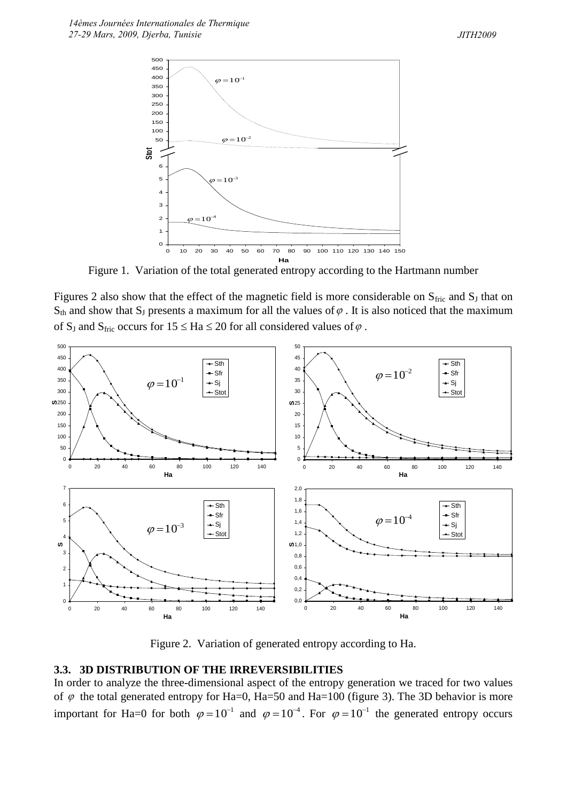

Figure 1. Variation of the total generated entropy according to the Hartmann number

Figures 2 also show that the effect of the magnetic field is more considerable on  $S_{\text{fric}}$  and  $S_I$  that on  $S_{th}$  and show that  $S_J$  presents a maximum for all the values of  $\varphi$ . It is also noticed that the maximum of S<sub>J</sub> and S<sub>fric</sub> occurs for  $15 \leq Ha \leq 20$  for all considered values of  $\varphi$ .



Figure 2. Variation of generated entropy according to Ha.

## **3.3. 3D DISTRIBUTION OF THE IRREVERSIBILITIES**

In order to analyze the three-dimensional aspect of the entropy generation we traced for two values of  $\varphi$  the total generated entropy for Ha=0, Ha=50 and Ha=100 (figure 3). The 3D behavior is more important for Ha=0 for both  $\varphi = 10^{-1}$  and  $\varphi = 10^{-4}$ . For  $\varphi = 10^{-1}$  the generated entropy occurs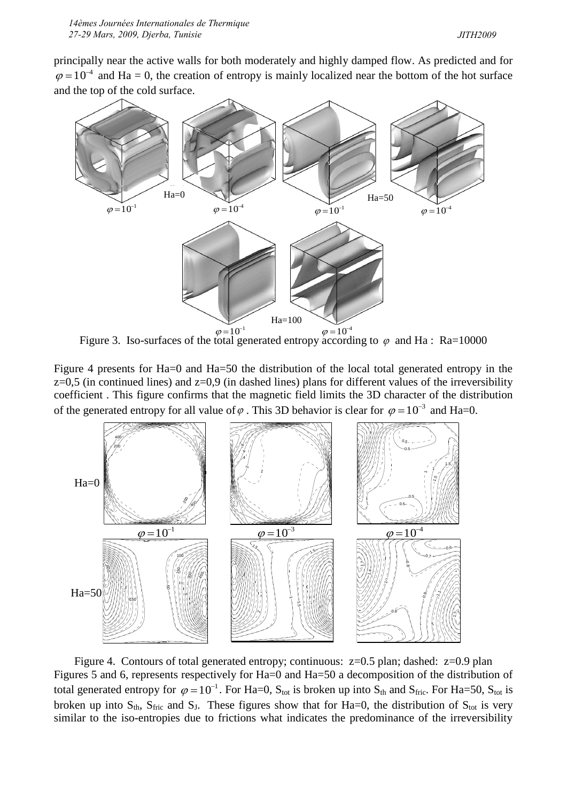principally near the active walls for both moderately and highly damped flow. As predicted and for  $\varphi = 10^{-4}$  and Ha = 0, the creation of entropy is mainly localized near the bottom of the hot surface and the top of the cold surface.



Figure 3. Iso-surfaces of the total generated entropy according to  $\varphi$  and Ha: Ra=10000

Figure 4 presents for Ha=0 and Ha=50 the distribution of the local total generated entropy in the  $z=0,5$  (in continued lines) and  $z=0.9$  (in dashed lines) plans for different values of the irreversibility coefficient . This figure confirms that the magnetic field limits the 3D character of the distribution of the generated entropy for all value of  $\varphi$ . This 3D behavior is clear for  $\varphi = 10^{-3}$  and Ha=0.



Figure 4. Contours of total generated entropy; continuous: z=0.5 plan; dashed: z=0.9 plan Figures 5 and 6, represents respectively for Ha=0 and Ha=50 a decomposition of the distribution of total generated entropy for  $\varphi = 10^{-1}$ . For Ha=0, S<sub>tot</sub> is broken up into S<sub>th</sub> and S<sub>fric</sub>. For Ha=50, S<sub>tot</sub> is broken up into  $S_{th}$ ,  $S_{fric}$  and  $S_J$ . These figures show that for Ha=0, the distribution of  $S_{tot}$  is very similar to the iso-entropies due to frictions what indicates the predominance of the irreversibility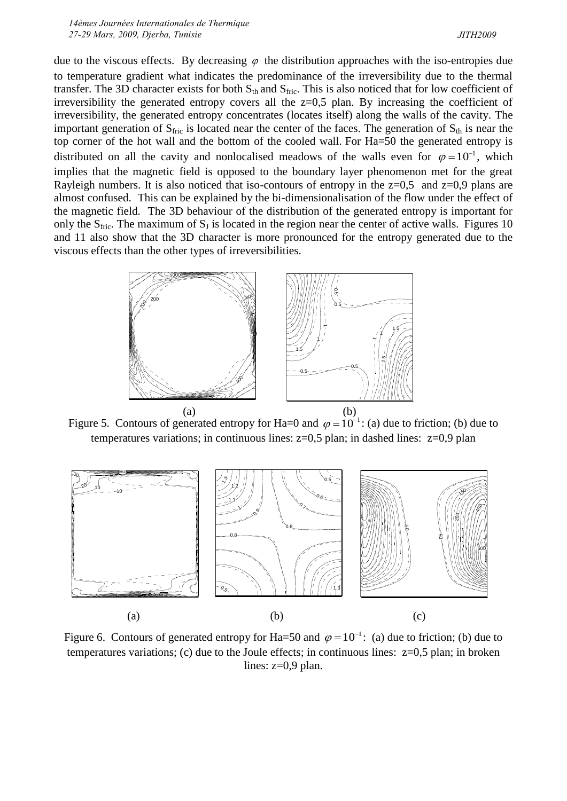*14èmes Journées Internationales de Thermique 27-29 Mars, 2009, Djerba, Tunisie* 

due to the viscous effects. By decreasing  $\varphi$  the distribution approaches with the iso-entropies due to temperature gradient what indicates the predominance of the irreversibility due to the thermal transfer. The 3D character exists for both  $S_{th}$  and  $S_{fric}$ . This is also noticed that for low coefficient of irreversibility the generated entropy covers all the  $z=0.5$  plan. By increasing the coefficient of irreversibility, the generated entropy concentrates (locates itself) along the walls of the cavity. The important generation of  $S_{\text{fric}}$  is located near the center of the faces. The generation of  $S_{\text{th}}$  is near the top corner of the hot wall and the bottom of the cooled wall. For Ha=50 the generated entropy is distributed on all the cavity and nonlocalised meadows of the walls even for  $\varphi = 10^{-1}$ , which implies that the magnetic field is opposed to the boundary layer phenomenon met for the great Rayleigh numbers. It is also noticed that iso-contours of entropy in the  $z=0.5$  and  $z=0.9$  plans are almost confused. This can be explained by the bi-dimensionalisation of the flow under the effect of the magnetic field. The 3D behaviour of the distribution of the generated entropy is important for only the  $S_{\text{fric}}$ . The maximum of  $S_J$  is located in the region near the center of active walls. Figures 10 and 11 also show that the 3D character is more pronounced for the entropy generated due to the viscous effects than the other types of irreversibilities.



Figure 5. Contours of generated entropy for Ha=0 and  $\varphi = 10^{-1}$ : (a) due to friction; (b) due to temperatures variations; in continuous lines: z=0,5 plan; in dashed lines: z=0,9 plan



Figure 6. Contours of generated entropy for Ha=50 and  $\varphi = 10^{-1}$ : (a) due to friction; (b) due to temperatures variations; (c) due to the Joule effects; in continuous lines:  $z=0.5$  plan; in broken lines:  $z=0.9$  plan.